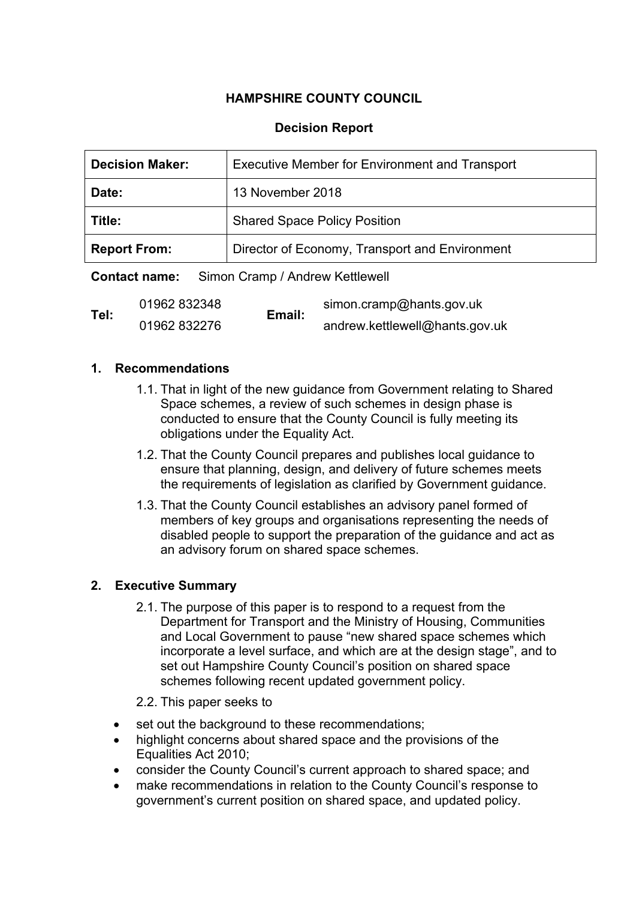# **HAMPSHIRE COUNTY COUNCIL**

# **Decision Report**

| <b>Decision Maker:</b> | <b>Executive Member for Environment and Transport</b> |  |
|------------------------|-------------------------------------------------------|--|
| Date:                  | 13 November 2018                                      |  |
| Title:                 | <b>Shared Space Policy Position</b>                   |  |
| <b>Report From:</b>    | Director of Economy, Transport and Environment        |  |

**Contact name:** Simon Cramp / Andrew Kettlewell

| Tel: | 01962 832348 | Email: | simon.cramp@hants.gov.uk       |
|------|--------------|--------|--------------------------------|
|      | 01962 832276 |        | andrew.kettlewell@hants.gov.uk |

#### **1. Recommendations**

- 1.1. That in light of the new guidance from Government relating to Shared Space schemes, a review of such schemes in design phase is conducted to ensure that the County Council is fully meeting its obligations under the Equality Act.
- 1.2. That the County Council prepares and publishes local guidance to ensure that planning, design, and delivery of future schemes meets the requirements of legislation as clarified by Government guidance.
- 1.3. That the County Council establishes an advisory panel formed of members of key groups and organisations representing the needs of disabled people to support the preparation of the guidance and act as an advisory forum on shared space schemes.

## **2. Executive Summary**

- 2.1. The purpose of this paper is to respond to a request from the Department for Transport and the Ministry of Housing, Communities and Local Government to pause "new shared space schemes which incorporate a level surface, and which are at the design stage", and to set out Hampshire County Council's position on shared space schemes following recent updated government policy.
- 2.2. This paper seeks to
- set out the background to these recommendations;
- highlight concerns about shared space and the provisions of the Equalities Act 2010;
- consider the County Council's current approach to shared space; and
- make recommendations in relation to the County Council's response to government's current position on shared space, and updated policy.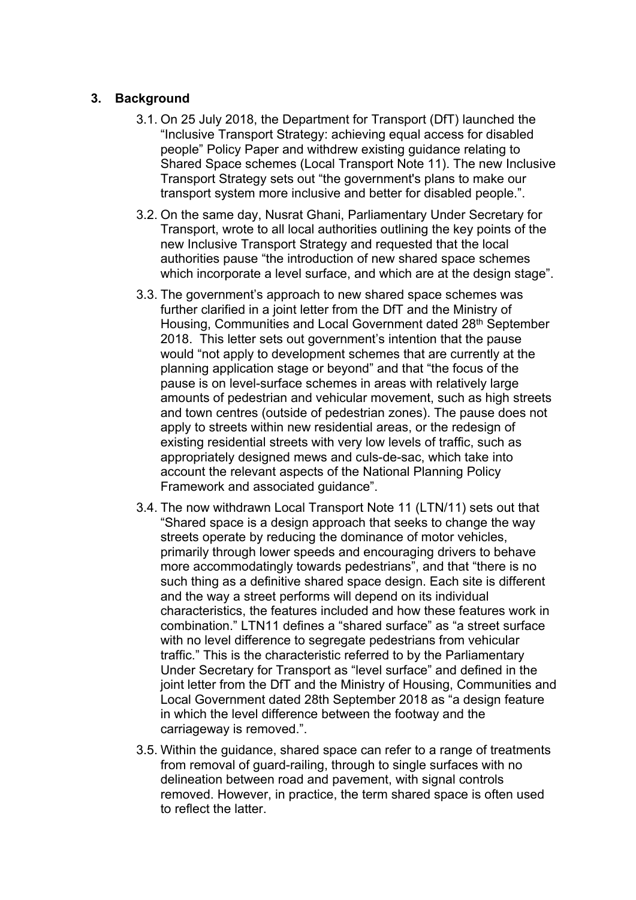#### **3. Background**

- 3.1. On 25 July 2018, the Department for Transport (DfT) launched the "Inclusive Transport Strategy: achieving equal access for disabled people" Policy Paper and withdrew existing guidance relating to Shared Space schemes (Local Transport Note 11). The new Inclusive Transport Strategy sets out "the government's plans to make our transport system more inclusive and better for disabled people.".
- 3.2. On the same day, Nusrat Ghani, Parliamentary Under Secretary for Transport, wrote to all local authorities outlining the key points of the new Inclusive Transport Strategy and requested that the local authorities pause "the introduction of new shared space schemes which incorporate a level surface, and which are at the design stage".
- 3.3. The government's approach to new shared space schemes was further clarified in a joint letter from the DfT and the Ministry of Housing, Communities and Local Government dated 28<sup>th</sup> September 2018. This letter sets out government's intention that the pause would "not apply to development schemes that are currently at the planning application stage or beyond" and that "the focus of the pause is on level-surface schemes in areas with relatively large amounts of pedestrian and vehicular movement, such as high streets and town centres (outside of pedestrian zones). The pause does not apply to streets within new residential areas, or the redesign of existing residential streets with very low levels of traffic, such as appropriately designed mews and culs-de-sac, which take into account the relevant aspects of the National Planning Policy Framework and associated guidance".
- 3.4. The now withdrawn Local Transport Note 11 (LTN/11) sets out that "Shared space is a design approach that seeks to change the way streets operate by reducing the dominance of motor vehicles, primarily through lower speeds and encouraging drivers to behave more accommodatingly towards pedestrians", and that "there is no such thing as a definitive shared space design. Each site is different and the way a street performs will depend on its individual characteristics, the features included and how these features work in combination." LTN11 defines a "shared surface" as "a street surface with no level difference to segregate pedestrians from vehicular traffic." This is the characteristic referred to by the Parliamentary Under Secretary for Transport as "level surface" and defined in the joint letter from the DfT and the Ministry of Housing, Communities and Local Government dated 28th September 2018 as "a design feature in which the level difference between the footway and the carriageway is removed.".
- 3.5. Within the guidance, shared space can refer to a range of treatments from removal of guard-railing, through to single surfaces with no delineation between road and pavement, with signal controls removed. However, in practice, the term shared space is often used to reflect the latter.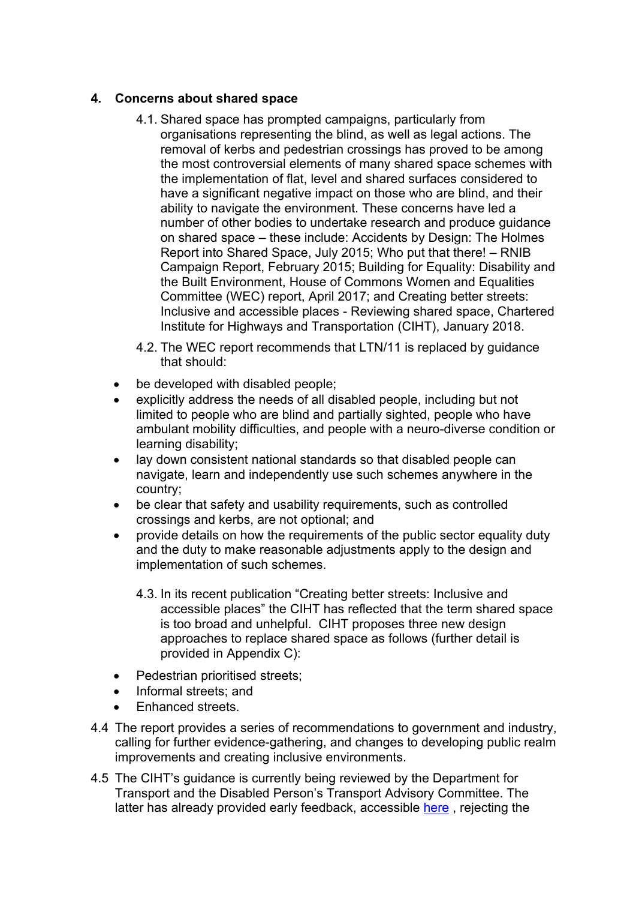## **4. Concerns about shared space**

- 4.1. Shared space has prompted campaigns, particularly from organisations representing the blind, as well as legal actions. The removal of kerbs and pedestrian crossings has proved to be among the most controversial elements of many shared space schemes with the implementation of flat, level and shared surfaces considered to have a significant negative impact on those who are blind, and their ability to navigate the environment. These concerns have led a number of other bodies to undertake research and produce guidance on shared space – these include: Accidents by Design: The Holmes Report into Shared Space, July 2015; Who put that there! – RNIB Campaign Report, February 2015; Building for Equality: Disability and the Built Environment, House of Commons Women and Equalities Committee (WEC) report, April 2017; and Creating better streets: Inclusive and accessible places - Reviewing shared space, Chartered Institute for Highways and Transportation (CIHT), January 2018.
- 4.2. The WEC report recommends that LTN/11 is replaced by guidance that should:
- be developed with disabled people;
- explicitly address the needs of all disabled people, including but not limited to people who are blind and partially sighted, people who have ambulant mobility difficulties, and people with a neuro-diverse condition or learning disability;
- lay down consistent national standards so that disabled people can navigate, learn and independently use such schemes anywhere in the country;
- be clear that safety and usability requirements, such as controlled crossings and kerbs, are not optional; and
- provide details on how the requirements of the public sector equality duty and the duty to make reasonable adjustments apply to the design and implementation of such schemes.
	- 4.3. In its recent publication "Creating better streets: Inclusive and accessible places" the CIHT has reflected that the term shared space is too broad and unhelpful. CIHT proposes three new design approaches to replace shared space as follows (further detail is provided in Appendix C):
- Pedestrian prioritised streets;
- Informal streets; and
- Enhanced streets.
- 4.4 The report provides a series of recommendations to government and industry, calling for further evidence-gathering, and changes to developing public realm improvements and creating inclusive environments.
- 4.5 The CIHT's guidance is currently being reviewed by the Department for Transport and the Disabled Person's Transport Advisory Committee. The latter has already provided early feedback, accessible [here](https://www.gov.uk/government/publications/dptacs-position-on-shared-space/dptac-position-on-shared-space) , rejecting the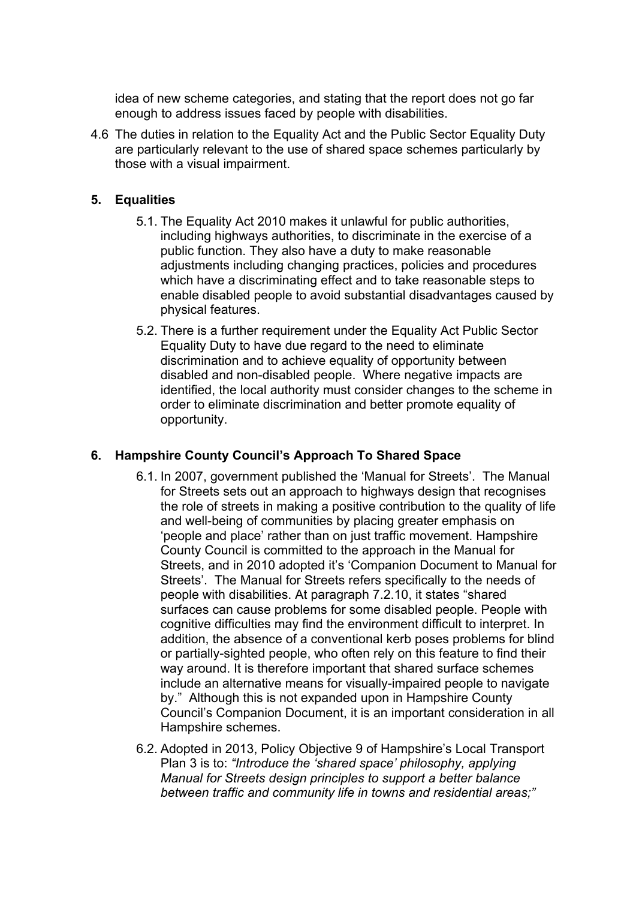idea of new scheme categories, and stating that the report does not go far enough to address issues faced by people with disabilities.

4.6 The duties in relation to the Equality Act and the Public Sector Equality Duty are particularly relevant to the use of shared space schemes particularly by those with a visual impairment.

#### **5. Equalities**

- 5.1. The Equality Act 2010 makes it unlawful for public authorities, including highways authorities, to discriminate in the exercise of a public function. They also have a duty to make reasonable adjustments including changing practices, policies and procedures which have a discriminating effect and to take reasonable steps to enable disabled people to avoid substantial disadvantages caused by physical features.
- 5.2. There is a further requirement under the Equality Act Public Sector Equality Duty to have due regard to the need to eliminate discrimination and to achieve equality of opportunity between disabled and non-disabled people. Where negative impacts are identified, the local authority must consider changes to the scheme in order to eliminate discrimination and better promote equality of opportunity.

#### **6. Hampshire County Council's Approach To Shared Space**

- 6.1. In 2007, government published the 'Manual for Streets'. The Manual for Streets sets out an approach to highways design that recognises the role of streets in making a positive contribution to the quality of life and well-being of communities by placing greater emphasis on 'people and place' rather than on just traffic movement. Hampshire County Council is committed to the approach in the Manual for Streets, and in 2010 adopted it's 'Companion Document to Manual for Streets'. The Manual for Streets refers specifically to the needs of people with disabilities. At paragraph 7.2.10, it states "shared surfaces can cause problems for some disabled people. People with cognitive difficulties may find the environment difficult to interpret. In addition, the absence of a conventional kerb poses problems for blind or partially-sighted people, who often rely on this feature to find their way around. It is therefore important that shared surface schemes include an alternative means for visually-impaired people to navigate by." Although this is not expanded upon in Hampshire County Council's Companion Document, it is an important consideration in all Hampshire schemes.
- 6.2. Adopted in 2013, Policy Objective 9 of Hampshire's Local Transport Plan 3 is to: *"Introduce the 'shared space' philosophy, applying Manual for Streets design principles to support a better balance between traffic and community life in towns and residential areas;"*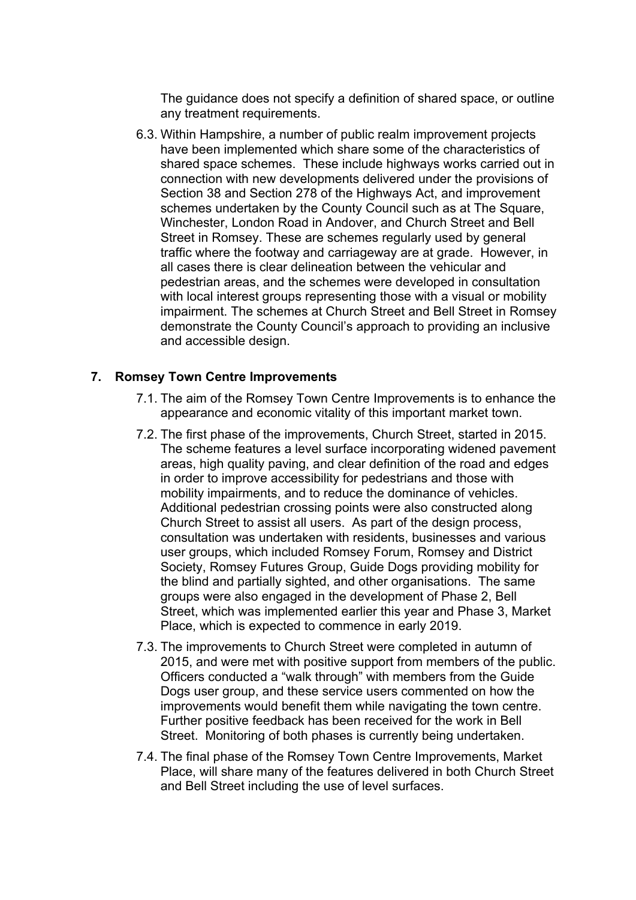The guidance does not specify a definition of shared space, or outline any treatment requirements.

6.3. Within Hampshire, a number of public realm improvement projects have been implemented which share some of the characteristics of shared space schemes. These include highways works carried out in connection with new developments delivered under the provisions of Section 38 and Section 278 of the Highways Act, and improvement schemes undertaken by the County Council such as at The Square, Winchester, London Road in Andover, and Church Street and Bell Street in Romsey. These are schemes regularly used by general traffic where the footway and carriageway are at grade. However, in all cases there is clear delineation between the vehicular and pedestrian areas, and the schemes were developed in consultation with local interest groups representing those with a visual or mobility impairment. The schemes at Church Street and Bell Street in Romsey demonstrate the County Council's approach to providing an inclusive and accessible design.

#### **7. Romsey Town Centre Improvements**

- 7.1. The aim of the Romsey Town Centre Improvements is to enhance the appearance and economic vitality of this important market town.
- 7.2. The first phase of the improvements, Church Street, started in 2015. The scheme features a level surface incorporating widened pavement areas, high quality paving, and clear definition of the road and edges in order to improve accessibility for pedestrians and those with mobility impairments, and to reduce the dominance of vehicles. Additional pedestrian crossing points were also constructed along Church Street to assist all users. As part of the design process, consultation was undertaken with residents, businesses and various user groups, which included Romsey Forum, Romsey and District Society, Romsey Futures Group, Guide Dogs providing mobility for the blind and partially sighted, and other organisations. The same groups were also engaged in the development of Phase 2, Bell Street, which was implemented earlier this year and Phase 3, Market Place, which is expected to commence in early 2019.
- 7.3. The improvements to Church Street were completed in autumn of 2015, and were met with positive support from members of the public. Officers conducted a "walk through" with members from the Guide Dogs user group, and these service users commented on how the improvements would benefit them while navigating the town centre. Further positive feedback has been received for the work in Bell Street. Monitoring of both phases is currently being undertaken.
- 7.4. The final phase of the Romsey Town Centre Improvements, Market Place, will share many of the features delivered in both Church Street and Bell Street including the use of level surfaces.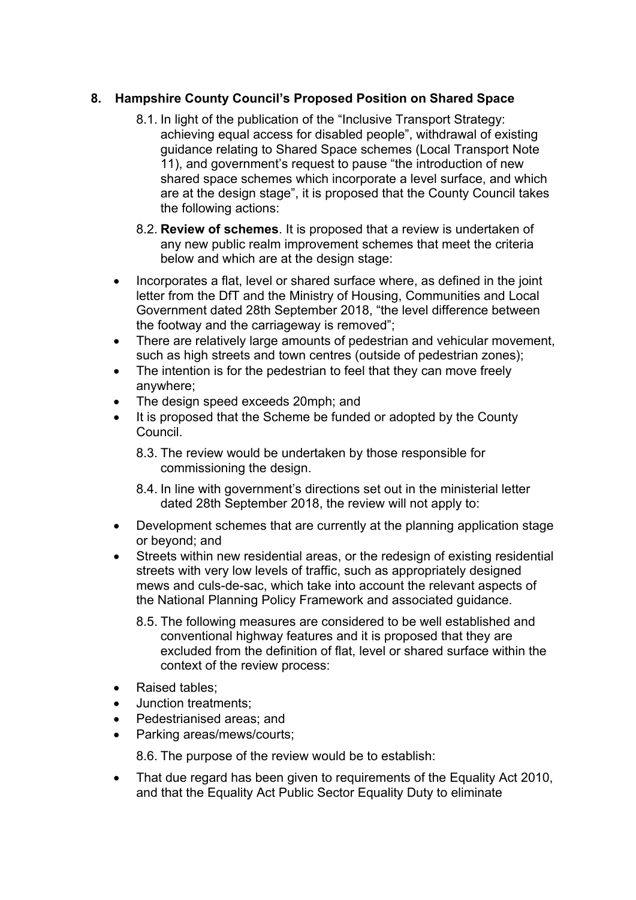# **8. Hampshire County Council's Proposed Position on Shared Space**

- 8.1. In light of the publication of the "Inclusive Transport Strategy: achieving equal access for disabled people", withdrawal of existing guidance relating to Shared Space schemes (Local Transport Note 11), and government's request to pause "the introduction of new shared space schemes which incorporate a level surface, and which are at the design stage", it is proposed that the County Council takes the following actions:
- 8.2. **Review of schemes**. It is proposed that a review is undertaken of any new public realm improvement schemes that meet the criteria below and which are at the design stage:
- Incorporates a flat, level or shared surface where, as defined in the joint letter from the DfT and the Ministry of Housing, Communities and Local Government dated 28th September 2018, "the level difference between the footway and the carriageway is removed";
- There are relatively large amounts of pedestrian and vehicular movement, such as high streets and town centres (outside of pedestrian zones);
- The intention is for the pedestrian to feel that they can move freely anywhere;
- The design speed exceeds 20mph; and
- It is proposed that the Scheme be funded or adopted by the County Council.
	- 8.3. The review would be undertaken by those responsible for commissioning the design.
	- 8.4. In line with government's directions set out in the ministerial letter dated 28th September 2018, the review will not apply to:
- Development schemes that are currently at the planning application stage or beyond; and
- Streets within new residential areas, or the redesign of existing residential streets with very low levels of traffic, such as appropriately designed mews and culs-de-sac, which take into account the relevant aspects of the National Planning Policy Framework and associated guidance.
	- 8.5. The following measures are considered to be well established and conventional highway features and it is proposed that they are excluded from the definition of flat, level or shared surface within the context of the review process:
- Raised tables:
- Junction treatments;
- Pedestrianised areas; and
- Parking areas/mews/courts;

8.6. The purpose of the review would be to establish:

• That due regard has been given to requirements of the Equality Act 2010, and that the Equality Act Public Sector Equality Duty to eliminate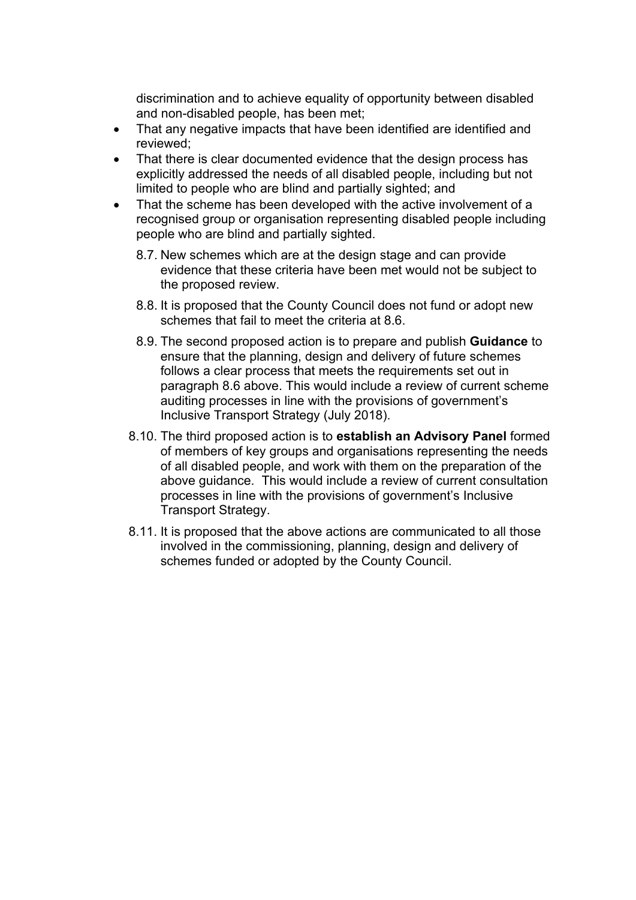discrimination and to achieve equality of opportunity between disabled and non-disabled people, has been met;

- That any negative impacts that have been identified are identified and reviewed;
- That there is clear documented evidence that the design process has explicitly addressed the needs of all disabled people, including but not limited to people who are blind and partially sighted; and
- That the scheme has been developed with the active involvement of a recognised group or organisation representing disabled people including people who are blind and partially sighted.
	- 8.7. New schemes which are at the design stage and can provide evidence that these criteria have been met would not be subject to the proposed review.
	- 8.8. It is proposed that the County Council does not fund or adopt new schemes that fail to meet the criteria at 8.6.
	- 8.9. The second proposed action is to prepare and publish **Guidance** to ensure that the planning, design and delivery of future schemes follows a clear process that meets the requirements set out in paragraph 8.6 above. This would include a review of current scheme auditing processes in line with the provisions of government's Inclusive Transport Strategy (July 2018).
	- 8.10. The third proposed action is to **establish an Advisory Panel** formed of members of key groups and organisations representing the needs of all disabled people, and work with them on the preparation of the above guidance. This would include a review of current consultation processes in line with the provisions of government's Inclusive Transport Strategy.
	- 8.11. It is proposed that the above actions are communicated to all those involved in the commissioning, planning, design and delivery of schemes funded or adopted by the County Council.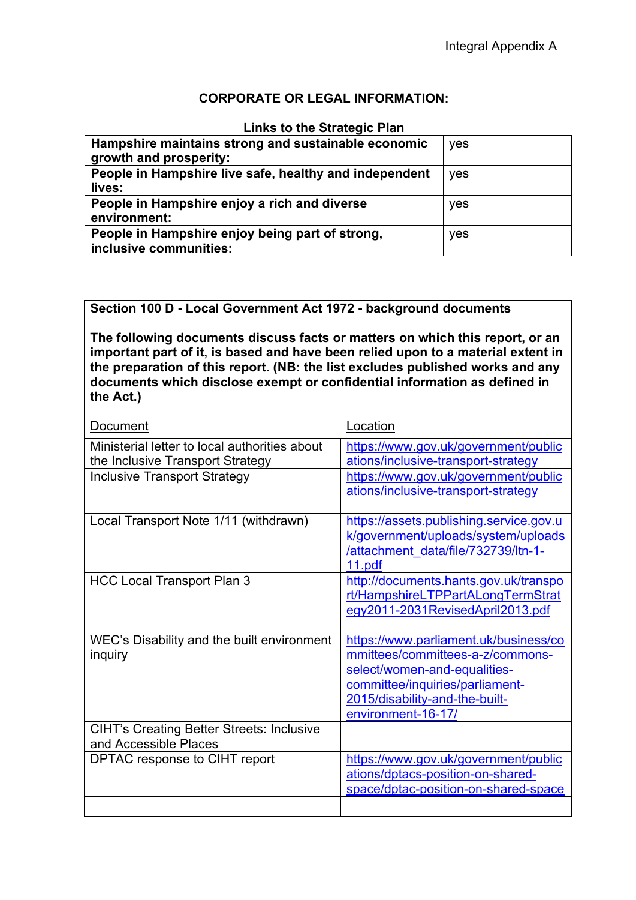## **CORPORATE OR LEGAL INFORMATION:**

#### **Links to the Strategic Plan**

| Hampshire maintains strong and sustainable economic<br>growth and prosperity: | yes |
|-------------------------------------------------------------------------------|-----|
| People in Hampshire live safe, healthy and independent<br>lives:              | yes |
| People in Hampshire enjoy a rich and diverse<br>environment:                  | yes |
| People in Hampshire enjoy being part of strong,<br>inclusive communities:     | yes |

#### **Section 100 D - Local Government Act 1972 - background documents**

**The following documents discuss facts or matters on which this report, or an important part of it, is based and have been relied upon to a material extent in the preparation of this report. (NB: the list excludes published works and any documents which disclose exempt or confidential information as defined in the Act.)**

| Document                                         | Location                                |
|--------------------------------------------------|-----------------------------------------|
| Ministerial letter to local authorities about    | https://www.gov.uk/government/public    |
| the Inclusive Transport Strategy                 | ations/inclusive-transport-strategy     |
| <b>Inclusive Transport Strategy</b>              | https://www.gov.uk/government/public    |
|                                                  | ations/inclusive-transport-strategy     |
|                                                  |                                         |
| Local Transport Note 1/11 (withdrawn)            | https://assets.publishing.service.gov.u |
|                                                  | k/government/uploads/system/uploads     |
|                                                  | /attachment data/file/732739/ltn-1-     |
|                                                  | 11.pdf                                  |
| <b>HCC Local Transport Plan 3</b>                | http://documents.hants.gov.uk/transpo   |
|                                                  | rt/HampshireLTPPartALongTermStrat       |
|                                                  | egy2011-2031RevisedApril2013.pdf        |
|                                                  |                                         |
| WEC's Disability and the built environment       | https://www.parliament.uk/business/co   |
| inquiry                                          | mmittees/committees-a-z/commons-        |
|                                                  | select/women-and-equalities-            |
|                                                  | committee/inquiries/parliament-         |
|                                                  | 2015/disability-and-the-built-          |
|                                                  | environment-16-17/                      |
| <b>CIHT's Creating Better Streets: Inclusive</b> |                                         |
| and Accessible Places                            |                                         |
| DPTAC response to CIHT report                    | https://www.gov.uk/government/public    |
|                                                  | ations/dptacs-position-on-shared-       |
|                                                  | space/dptac-position-on-shared-space    |
|                                                  |                                         |